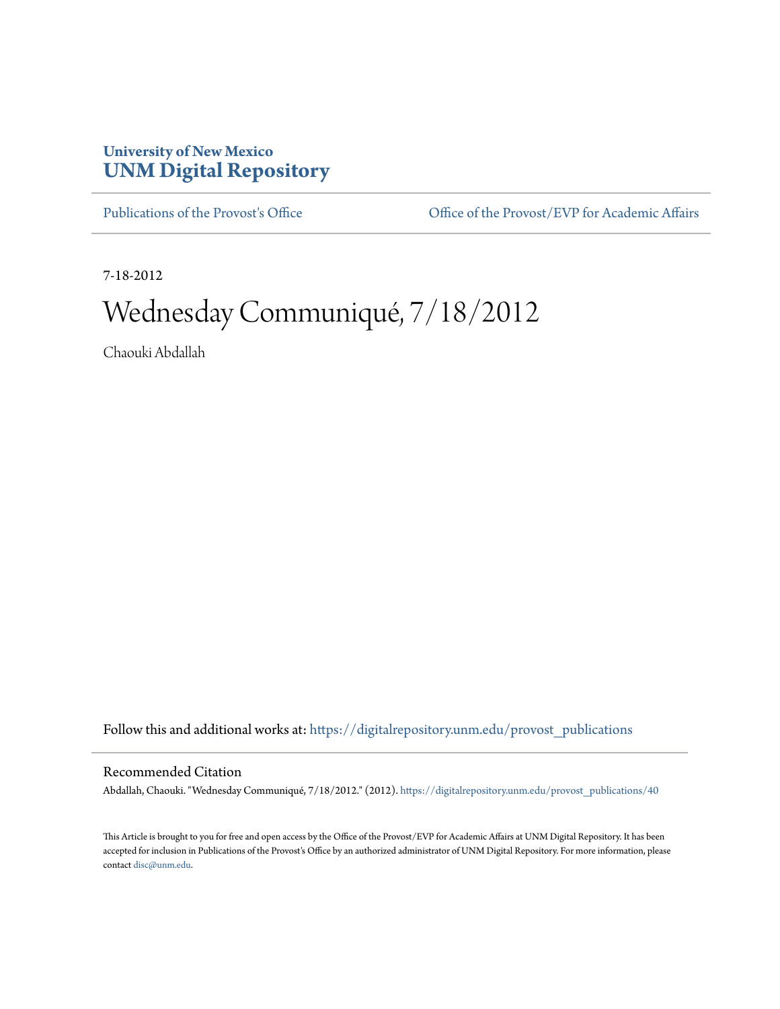## **University of New Mexico [UNM Digital Repository](https://digitalrepository.unm.edu?utm_source=digitalrepository.unm.edu%2Fprovost_publications%2F40&utm_medium=PDF&utm_campaign=PDFCoverPages)**

[Publications of the Provost's Office](https://digitalrepository.unm.edu/provost_publications?utm_source=digitalrepository.unm.edu%2Fprovost_publications%2F40&utm_medium=PDF&utm_campaign=PDFCoverPages) Office [Office of the Provost/EVP for Academic Affairs](https://digitalrepository.unm.edu/ofc_provost?utm_source=digitalrepository.unm.edu%2Fprovost_publications%2F40&utm_medium=PDF&utm_campaign=PDFCoverPages)

7-18-2012

# Wednesday Communiqué, 7/18/2012

Chaouki Abdallah

Follow this and additional works at: [https://digitalrepository.unm.edu/provost\\_publications](https://digitalrepository.unm.edu/provost_publications?utm_source=digitalrepository.unm.edu%2Fprovost_publications%2F40&utm_medium=PDF&utm_campaign=PDFCoverPages)

## Recommended Citation

Abdallah, Chaouki. "Wednesday Communiqué, 7/18/2012." (2012). [https://digitalrepository.unm.edu/provost\\_publications/40](https://digitalrepository.unm.edu/provost_publications/40?utm_source=digitalrepository.unm.edu%2Fprovost_publications%2F40&utm_medium=PDF&utm_campaign=PDFCoverPages)

This Article is brought to you for free and open access by the Office of the Provost/EVP for Academic Affairs at UNM Digital Repository. It has been accepted for inclusion in Publications of the Provost's Office by an authorized administrator of UNM Digital Repository. For more information, please contact [disc@unm.edu.](mailto:disc@unm.edu)